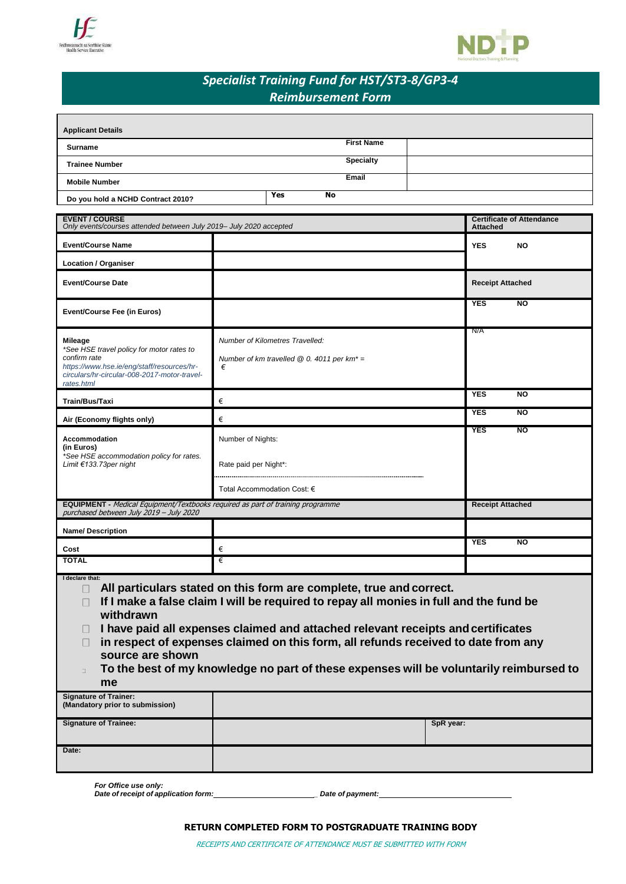



# *Specialist Training Fund for HST/ST3-8/GP3-4 Reimbursement Form*

| <b>Applicant Details</b>          |                   |  |
|-----------------------------------|-------------------|--|
| Surname                           | <b>First Name</b> |  |
| <b>Trainee Number</b>             | <b>Specialty</b>  |  |
| <b>Mobile Number</b>              | Email             |  |
| Do you hold a NCHD Contract 2010? | <b>Yes</b><br>No  |  |

| <b>EVENT / COURSE</b><br>Only events/courses attended between July 2019- July 2020 accepted                                                                                             |                                                                                                                                                                                                                                                                                                      | <b>Certificate of Attendance</b><br><b>Attached</b> |
|-----------------------------------------------------------------------------------------------------------------------------------------------------------------------------------------|------------------------------------------------------------------------------------------------------------------------------------------------------------------------------------------------------------------------------------------------------------------------------------------------------|-----------------------------------------------------|
| <b>Event/Course Name</b>                                                                                                                                                                |                                                                                                                                                                                                                                                                                                      | <b>YES</b><br><b>NO</b>                             |
| <b>Location / Organiser</b>                                                                                                                                                             |                                                                                                                                                                                                                                                                                                      |                                                     |
| <b>Event/Course Date</b>                                                                                                                                                                |                                                                                                                                                                                                                                                                                                      | <b>Receipt Attached</b>                             |
| <b>Event/Course Fee (in Euros)</b>                                                                                                                                                      |                                                                                                                                                                                                                                                                                                      | <b>NO</b><br><b>YES</b>                             |
| <b>Mileage</b><br>*See HSE travel policy for motor rates to<br>confirm rate<br>https://www.hse.ie/eng/staff/resources/hr-<br>circulars/hr-circular-008-2017-motor-travel-<br>rates.html | Number of Kilometres Travelled:<br>Number of km travelled $@$ 0. 4011 per km <sup>*</sup> =<br>€                                                                                                                                                                                                     | N/A                                                 |
| Train/Bus/Taxi                                                                                                                                                                          | €                                                                                                                                                                                                                                                                                                    | <b>YES</b><br>$\overline{N}$                        |
| Air (Economy flights only)                                                                                                                                                              | €                                                                                                                                                                                                                                                                                                    | <b>YES</b><br><b>NO</b>                             |
| Accommodation<br>(in Euros)<br>*See HSE accommodation policy for rates.<br>Limit €133.73per night                                                                                       | Number of Nights:                                                                                                                                                                                                                                                                                    | <b>YES</b><br><b>NO</b>                             |
|                                                                                                                                                                                         | Rate paid per Night*:                                                                                                                                                                                                                                                                                |                                                     |
|                                                                                                                                                                                         | Total Accommodation Cost: €                                                                                                                                                                                                                                                                          |                                                     |
| <b>EQUIPMENT</b> - Medical Equipment/Textbooks required as part of training programme<br>purchased between July 2019 - July 2020                                                        |                                                                                                                                                                                                                                                                                                      | <b>Receipt Attached</b>                             |
| Name/Description                                                                                                                                                                        |                                                                                                                                                                                                                                                                                                      |                                                     |
| Cost                                                                                                                                                                                    | €                                                                                                                                                                                                                                                                                                    | <b>YES</b><br><b>NO</b>                             |
| <b>TOTAL</b>                                                                                                                                                                            | €                                                                                                                                                                                                                                                                                                    |                                                     |
| I declare that:<br>$\Box$                                                                                                                                                               | All particulars stated on this form are complete, true and correct.<br>The figure is a constant of the state of the figure is a state of the state of the state of the state of the state of the state of the state of the state of the state of the state of the state of the state of the state of |                                                     |

- **If I make a false claim I will be required to repay all monies in full and the fund be withdrawn**
- **I have paid all expenses claimed and attached relevant receipts andcertificates**
- **in respect of expenses claimed on this form, all refunds received to date from any source are shown**
- **To the best of my knowledge no part of these expenses will be voluntarily reimbursed to**   $\overline{1}$ **me**

| <b>Signature of Trainer:</b><br>(Mandatory prior to submission) |           |
|-----------------------------------------------------------------|-----------|
| <b>Signature of Trainee:</b>                                    | SpR year: |
| Date:                                                           |           |

*For Office use only:*

*Date of receipt of application form: \_ Date of payment:*